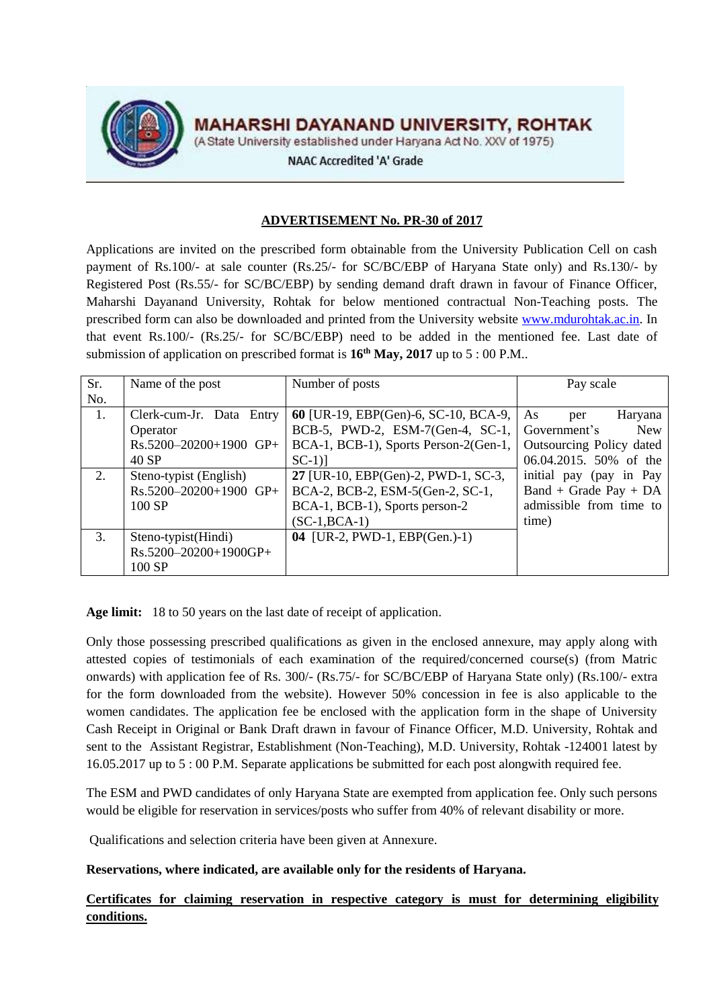

**MAHARSHI DAYANAND UNIVERSITY, ROHTAK** 

(A State University established under Haryana Act No. XXV of 1975)

**NAAC Accredited 'A' Grade** 

#### **ADVERTISEMENT No. PR-30 of 2017**

Applications are invited on the prescribed form obtainable from the University Publication Cell on cash payment of Rs.100/- at sale counter (Rs.25/- for SC/BC/EBP of Haryana State only) and Rs.130/- by Registered Post (Rs.55/- for SC/BC/EBP) by sending demand draft drawn in favour of Finance Officer, Maharshi Dayanand University, Rohtak for below mentioned contractual Non-Teaching posts. The prescribed form can also be downloaded and printed from the University website [www.mdurohtak.ac.in.](http://www.mdurohtak.ac.in/) In that event Rs.100/- (Rs.25/- for SC/BC/EBP) need to be added in the mentioned fee. Last date of submission of application on prescribed format is **16th May, 2017** up to 5 : 00 P.M..

| Sr. | Name of the post             | Number of posts                       | Pay scale                  |
|-----|------------------------------|---------------------------------------|----------------------------|
| No. |                              |                                       |                            |
| 1.  | Clerk-cum-Jr. Data Entry     | 60 [UR-19, EBP(Gen)-6, SC-10, BCA-9,  | Haryana<br>As<br>per       |
|     | Operator                     | BCB-5, PWD-2, ESM-7(Gen-4, SC-1,      | Government's<br><b>New</b> |
|     | Rs.5200-20200+1900 GP+       | BCA-1, BCB-1), Sports Person-2(Gen-1, | Outsourcing Policy dated   |
|     | 40 SP                        | $SC-1$ ]                              | 06.04.2015. 50% of the     |
| 2.  | Steno-typist (English)       | 27 [UR-10, EBP(Gen)-2, PWD-1, SC-3,   | initial pay (pay in Pay    |
|     | $Rs.5200 - 20200 + 1900$ GP+ | BCA-2, BCB-2, ESM-5(Gen-2, SC-1,      | $Band + Grade Pay + DA$    |
|     | 100 SP                       | BCA-1, BCB-1), Sports person-2        | admissible from time to    |
|     |                              | $(SC-1, BCA-1)$                       | time)                      |
| 3.  | Steno-typist(Hindi)          | 04 [UR-2, PWD-1, EBP(Gen.)-1)         |                            |
|     | Rs.5200-20200+1900GP+        |                                       |                            |
|     | 100 SP                       |                                       |                            |

**Age limit:** 18 to 50 years on the last date of receipt of application.

Only those possessing prescribed qualifications as given in the enclosed annexure, may apply along with attested copies of testimonials of each examination of the required/concerned course(s) (from Matric onwards) with application fee of Rs. 300/- (Rs.75/- for SC/BC/EBP of Haryana State only) (Rs.100/- extra for the form downloaded from the website). However 50% concession in fee is also applicable to the women candidates. The application fee be enclosed with the application form in the shape of University Cash Receipt in Original or Bank Draft drawn in favour of Finance Officer, M.D. University, Rohtak and sent to the Assistant Registrar, Establishment (Non-Teaching), M.D. University, Rohtak -124001 latest by 16.05.2017 up to 5 : 00 P.M. Separate applications be submitted for each post alongwith required fee.

The ESM and PWD candidates of only Haryana State are exempted from application fee. Only such persons would be eligible for reservation in services/posts who suffer from 40% of relevant disability or more.

Qualifications and selection criteria have been given at Annexure.

#### **Reservations, where indicated, are available only for the residents of Haryana.**

### **Certificates for claiming reservation in respective category is must for determining eligibility conditions.**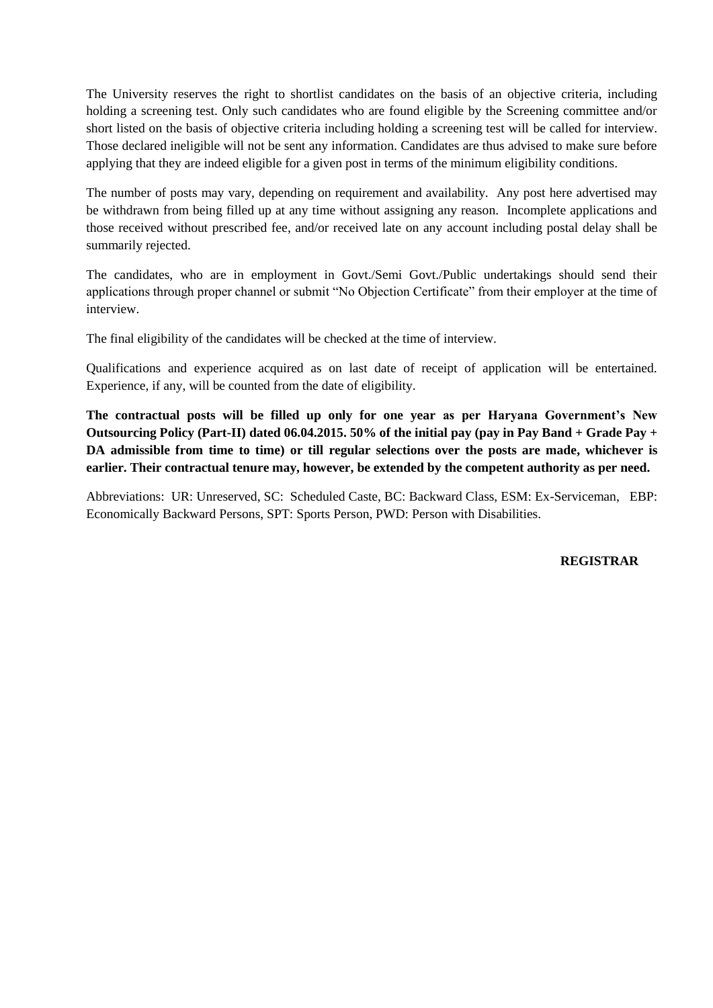The University reserves the right to shortlist candidates on the basis of an objective criteria, including holding a screening test. Only such candidates who are found eligible by the Screening committee and/or short listed on the basis of objective criteria including holding a screening test will be called for interview. Those declared ineligible will not be sent any information. Candidates are thus advised to make sure before applying that they are indeed eligible for a given post in terms of the minimum eligibility conditions.

The number of posts may vary, depending on requirement and availability. Any post here advertised may be withdrawn from being filled up at any time without assigning any reason. Incomplete applications and those received without prescribed fee, and/or received late on any account including postal delay shall be summarily rejected.

The candidates, who are in employment in Govt./Semi Govt./Public undertakings should send their applications through proper channel or submit "No Objection Certificate" from their employer at the time of interview.

The final eligibility of the candidates will be checked at the time of interview.

Qualifications and experience acquired as on last date of receipt of application will be entertained. Experience, if any, will be counted from the date of eligibility.

**The contractual posts will be filled up only for one year as per Haryana Government's New Outsourcing Policy (Part-II) dated 06.04.2015. 50% of the initial pay (pay in Pay Band + Grade Pay + DA admissible from time to time) or till regular selections over the posts are made, whichever is earlier. Their contractual tenure may, however, be extended by the competent authority as per need.**

Abbreviations: UR: Unreserved, SC: Scheduled Caste, BC: Backward Class, ESM: Ex-Serviceman, EBP: Economically Backward Persons, SPT: Sports Person, PWD: Person with Disabilities.

#### **REGISTRAR**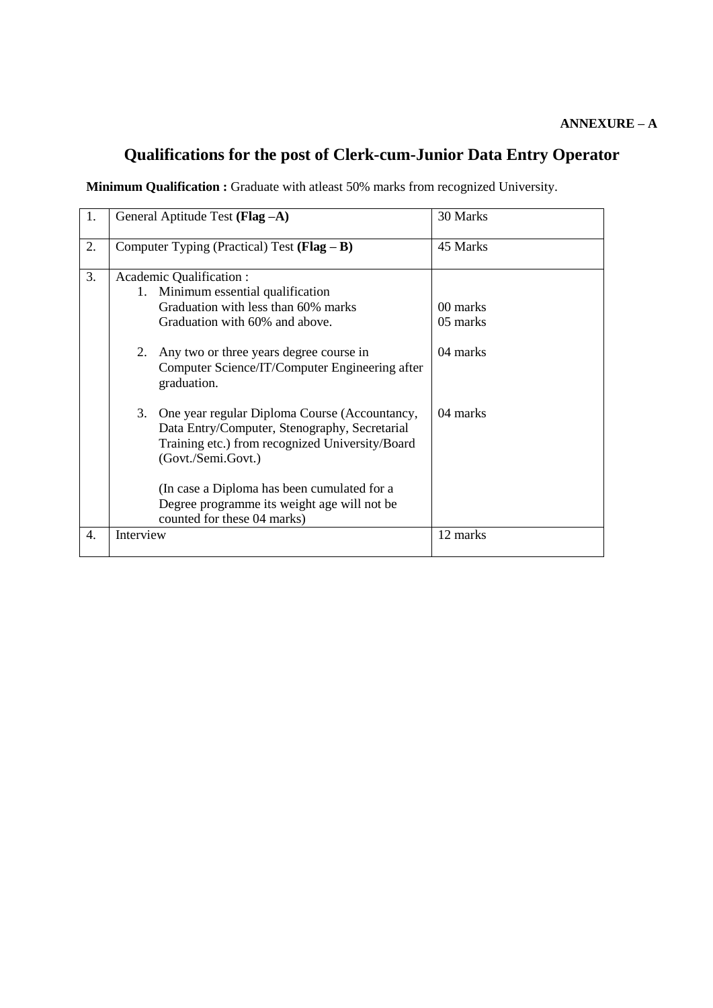# **Qualifications for the post of Clerk-cum-Junior Data Entry Operator**

**Minimum Qualification :** Graduate with atleast 50% marks from recognized University.

| 1. | General Aptitude Test (Flag -A)                               |                                                  | 30 Marks |
|----|---------------------------------------------------------------|--------------------------------------------------|----------|
| 2. | Computer Typing (Practical) Test ( $\text{Flag} - \text{B}$ ) |                                                  | 45 Marks |
| 3. | Academic Qualification :                                      |                                                  |          |
|    | 1. Minimum essential qualification                            |                                                  |          |
|    |                                                               | Graduation with less than 60% marks              | 00 marks |
|    |                                                               | Graduation with 60% and above.                   | 05 marks |
|    |                                                               |                                                  |          |
|    |                                                               | 2. Any two or three years degree course in       | 04 marks |
|    |                                                               | Computer Science/IT/Computer Engineering after   |          |
|    | graduation.                                                   |                                                  |          |
|    |                                                               | 3. One year regular Diploma Course (Accountancy, | 04 marks |
|    |                                                               | Data Entry/Computer, Stenography, Secretarial    |          |
|    |                                                               | Training etc.) from recognized University/Board  |          |
|    |                                                               | (Govt./Semi.Govt.)                               |          |
|    |                                                               |                                                  |          |
|    |                                                               | (In case a Diploma has been cumulated for a      |          |
|    |                                                               | Degree programme its weight age will not be      |          |
|    |                                                               | counted for these 04 marks)                      |          |
| 4. | Interview                                                     |                                                  | 12 marks |
|    |                                                               |                                                  |          |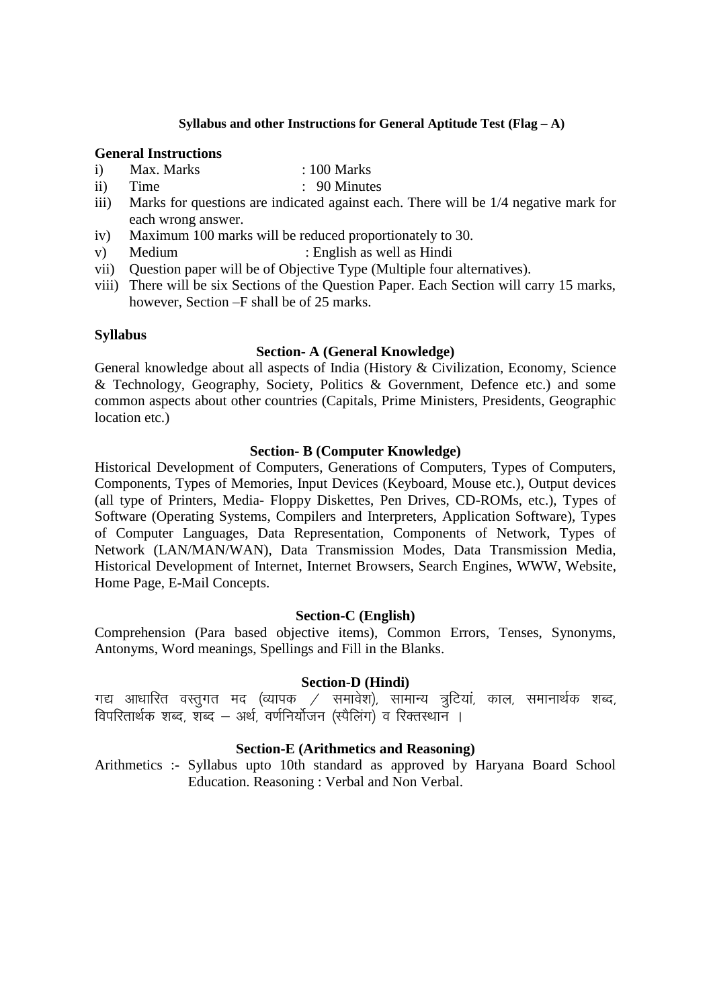#### **Syllabus and other Instructions for General Aptitude Test (Flag – A)**

#### **General Instructions**

- i) Max. Marks : 100 Marks
- ii) Time : 90 Minutes
- iii) Marks for questions are indicated against each. There will be 1/4 negative mark for each wrong answer.
- iv) Maximum 100 marks will be reduced proportionately to 30.
- v) Medium : English as well as Hindi
- vii) Question paper will be of Objective Type (Multiple four alternatives).
- viii) There will be six Sections of the Question Paper. Each Section will carry 15 marks, however, Section –F shall be of 25 marks.

#### **Syllabus**

#### **Section- A (General Knowledge)**

General knowledge about all aspects of India (History & Civilization, Economy, Science & Technology, Geography, Society, Politics & Government, Defence etc.) and some common aspects about other countries (Capitals, Prime Ministers, Presidents, Geographic location etc.)

#### **Section- B (Computer Knowledge)**

Historical Development of Computers, Generations of Computers, Types of Computers, Components, Types of Memories, Input Devices (Keyboard, Mouse etc.), Output devices (all type of Printers, Media- Floppy Diskettes, Pen Drives, CD-ROMs, etc.), Types of Software (Operating Systems, Compilers and Interpreters, Application Software), Types of Computer Languages, Data Representation, Components of Network, Types of Network (LAN/MAN/WAN), Data Transmission Modes, Data Transmission Media, Historical Development of Internet, Internet Browsers, Search Engines, WWW, Website, Home Page, E-Mail Concepts.

#### **Section-C (English)**

Comprehension (Para based objective items), Common Errors, Tenses, Synonyms, Antonyms, Word meanings, Spellings and Fill in the Blanks.

#### **Section-D (Hindi)**

गद्य आधारित वस्तुगत मद (व्यापक / समावेश), सामान्य त्रुटियां, काल, समानार्थक शब्द, <u>विपरितार्थक शब्द शब्द – अर्थ वर्णनिर्योजन (स्पैलिंग) व रिक्तस्थान ।</u>

#### **Section-E (Arithmetics and Reasoning)**

Arithmetics :- Syllabus upto 10th standard as approved by Haryana Board School Education. Reasoning : Verbal and Non Verbal.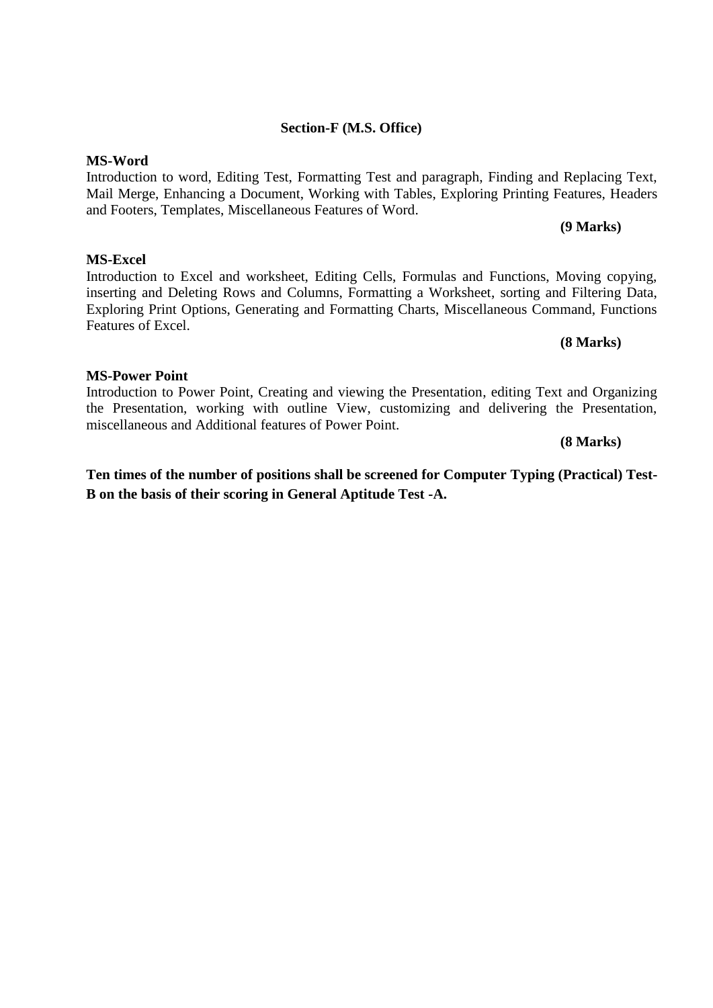# **Section-F (M.S. Office)**

## **MS-Word**

Introduction to word, Editing Test, Formatting Test and paragraph, Finding and Replacing Text, Mail Merge, Enhancing a Document, Working with Tables, Exploring Printing Features, Headers and Footers, Templates, Miscellaneous Features of Word.

#### **(9 Marks)**

#### **MS-Excel**

### Introduction to Excel and worksheet, Editing Cells, Formulas and Functions, Moving copying, inserting and Deleting Rows and Columns, Formatting a Worksheet, sorting and Filtering Data, Exploring Print Options, Generating and Formatting Charts, Miscellaneous Command, Functions Features of Excel.

#### **(8 Marks)**

#### **MS-Power Point**

#### Introduction to Power Point, Creating and viewing the Presentation, editing Text and Organizing the Presentation, working with outline View, customizing and delivering the Presentation, miscellaneous and Additional features of Power Point. **(8 Marks)**

**Ten times of the number of positions shall be screened for Computer Typing (Practical) Test-B on the basis of their scoring in General Aptitude Test -A.**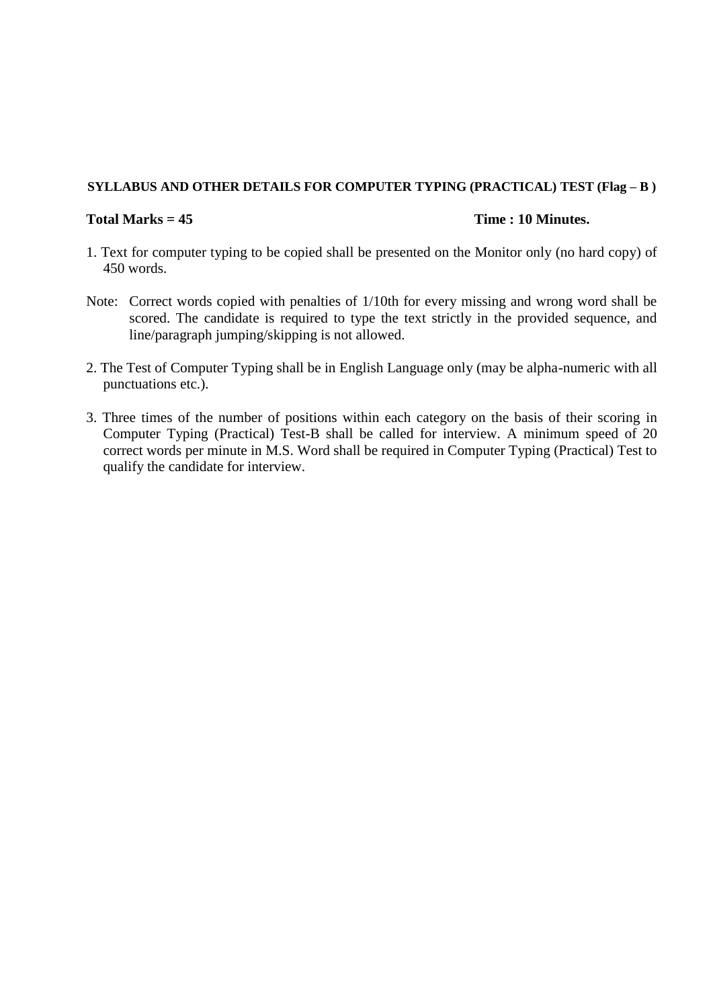#### **SYLLABUS AND OTHER DETAILS FOR COMPUTER TYPING (PRACTICAL) TEST (Flag – B )**

#### Total Marks = 45 Total Marks = 45 Total Minutes.

- 1. Text for computer typing to be copied shall be presented on the Monitor only (no hard copy) of 450 words.
- Note: Correct words copied with penalties of 1/10th for every missing and wrong word shall be scored. The candidate is required to type the text strictly in the provided sequence, and line/paragraph jumping/skipping is not allowed.
- 2. The Test of Computer Typing shall be in English Language only (may be alpha-numeric with all punctuations etc.).
- 3. Three times of the number of positions within each category on the basis of their scoring in Computer Typing (Practical) Test-B shall be called for interview. A minimum speed of 20 correct words per minute in M.S. Word shall be required in Computer Typing (Practical) Test to qualify the candidate for interview.